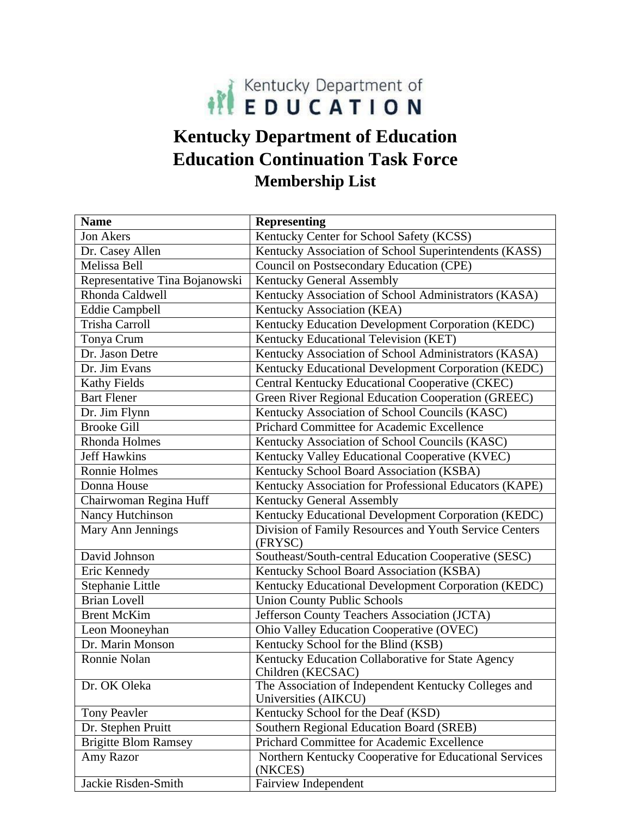

## **Kentucky Department of Education Education Continuation Task Force Membership List**

| <b>Name</b>                    | <b>Representing</b>                                                          |
|--------------------------------|------------------------------------------------------------------------------|
| Jon Akers                      | Kentucky Center for School Safety (KCSS)                                     |
| Dr. Casey Allen                | Kentucky Association of School Superintendents (KASS)                        |
| Melissa Bell                   | Council on Postsecondary Education (CPE)                                     |
| Representative Tina Bojanowski | <b>Kentucky General Assembly</b>                                             |
| Rhonda Caldwell                | Kentucky Association of School Administrators (KASA)                         |
| <b>Eddie Campbell</b>          | Kentucky Association (KEA)                                                   |
| <b>Trisha Carroll</b>          | Kentucky Education Development Corporation (KEDC)                            |
| Tonya Crum                     | Kentucky Educational Television (KET)                                        |
| Dr. Jason Detre                | Kentucky Association of School Administrators (KASA)                         |
| Dr. Jim Evans                  | Kentucky Educational Development Corporation (KEDC)                          |
| <b>Kathy Fields</b>            | Central Kentucky Educational Cooperative (CKEC)                              |
| <b>Bart Flener</b>             | Green River Regional Education Cooperation (GREEC)                           |
| Dr. Jim Flynn                  | Kentucky Association of School Councils (KASC)                               |
| <b>Brooke Gill</b>             | Prichard Committee for Academic Excellence                                   |
| Rhonda Holmes                  | Kentucky Association of School Councils (KASC)                               |
| <b>Jeff Hawkins</b>            | Kentucky Valley Educational Cooperative (KVEC)                               |
| Ronnie Holmes                  | Kentucky School Board Association (KSBA)                                     |
| Donna House                    | Kentucky Association for Professional Educators (KAPE)                       |
| Chairwoman Regina Huff         | Kentucky General Assembly                                                    |
| Nancy Hutchinson               | Kentucky Educational Development Corporation (KEDC)                          |
| Mary Ann Jennings              | Division of Family Resources and Youth Service Centers<br>(FRYSC)            |
| David Johnson                  | Southeast/South-central Education Cooperative (SESC)                         |
| Eric Kennedy                   | Kentucky School Board Association (KSBA)                                     |
| Stephanie Little               | Kentucky Educational Development Corporation (KEDC)                          |
| <b>Brian Lovell</b>            | <b>Union County Public Schools</b>                                           |
| <b>Brent McKim</b>             | Jefferson County Teachers Association (JCTA)                                 |
| Leon Mooneyhan                 | Ohio Valley Education Cooperative (OVEC)                                     |
| Dr. Marin Monson               | Kentucky School for the Blind (KSB)                                          |
| Ronnie Nolan                   | Kentucky Education Collaborative for State Agency<br>Children (KECSAC)       |
| Dr. OK Oleka                   | The Association of Independent Kentucky Colleges and<br>Universities (AIKCU) |
| <b>Tony Peavler</b>            | Kentucky School for the Deaf (KSD)                                           |
| Dr. Stephen Pruitt             | Southern Regional Education Board (SREB)                                     |
| <b>Brigitte Blom Ramsey</b>    | Prichard Committee for Academic Excellence                                   |
| Amy Razor                      | Northern Kentucky Cooperative for Educational Services<br>(NKCES)            |
| Jackie Risden-Smith            | <b>Fairview Independent</b>                                                  |